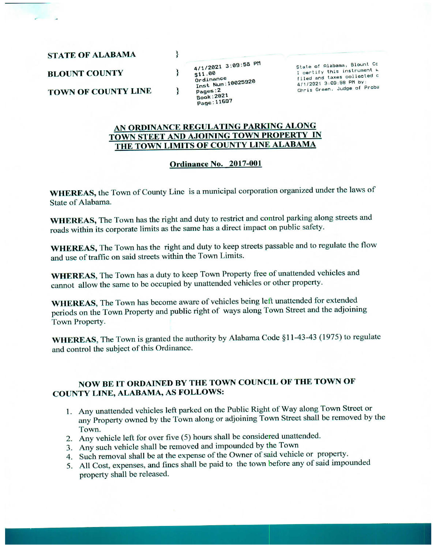**STATE OF ALABAMA** 

**BLOUNT COUNTY** 

**TOWN OF COUNTY LINE** 

4/1/2021 3:09:58 PM \$11.00 Ordinance ordinance<br>Inst Num:10025920 Pages:2 Book: 2021 Page: 11697

}

∤

ł

State of Alabama, Blount Co I certify this instrument w filed and taxes collected c 4/1/2021 3:09:58 PM by: Chris Green, Judge of Proba

## <u>AN ORDINANCE REGULATING PARKING ALONG<br>TOWN STEET AND AJOINING TOWN PROPERTY IN</u><br>THE TOWN LIMITS OF COUNTY LINE ALABAMA

## Qrdinance No. 2017-001

WHEREAS, the Town of County Line is a municipal corporation organized under the laws of State of Alabama.

wHEREAS, The Town has the right and duty to restrict and control parking along streets and roads within its corporate limits as the same has a direct impact on public safety.

WHEREAS, The Town has the right and duty to keep streets passable and to regulate the flow and use of traffic on said streets within the Town Limits.

wHEREAS, The Town has a duty to keep Town Property free of unattended vehicles and cannot allow the same to be occupied by unattended vehicles or other property.

WHEREAS, The Town has become aware of vehicles being left unattended for extended periods on the Toun Property and public right of ways along Toun Street and the adjoining Town Property.

wHEREAS, The Town is granted the authority by Alabama Code §1 1-43-43 (1975) to regulate and control the subject of this Ordinance.

## NOW BE IT ORDAINED BY THE TOWN COUNCIL OF THE TOWN OF COUNTY LINE, ALÅBAMA, AS FOLLOWS:

- 1. Any unattended vehicles left parked on the Public Right of Way along Town Street or any property owned by the Toun along or adjoining Toun Street shall be removed by the Town.
- 2. Any vehicle left for over five (5) hours shall be considered unattended.
- 3. Any such vehicle shall be removed and impounded by the Town
- 4. Such removal shall be at the expense of the Owner of said vehicle or property.
- 5. All Cost, expenses, and fines shall be paid to the town before any of said impounded property shall be released.